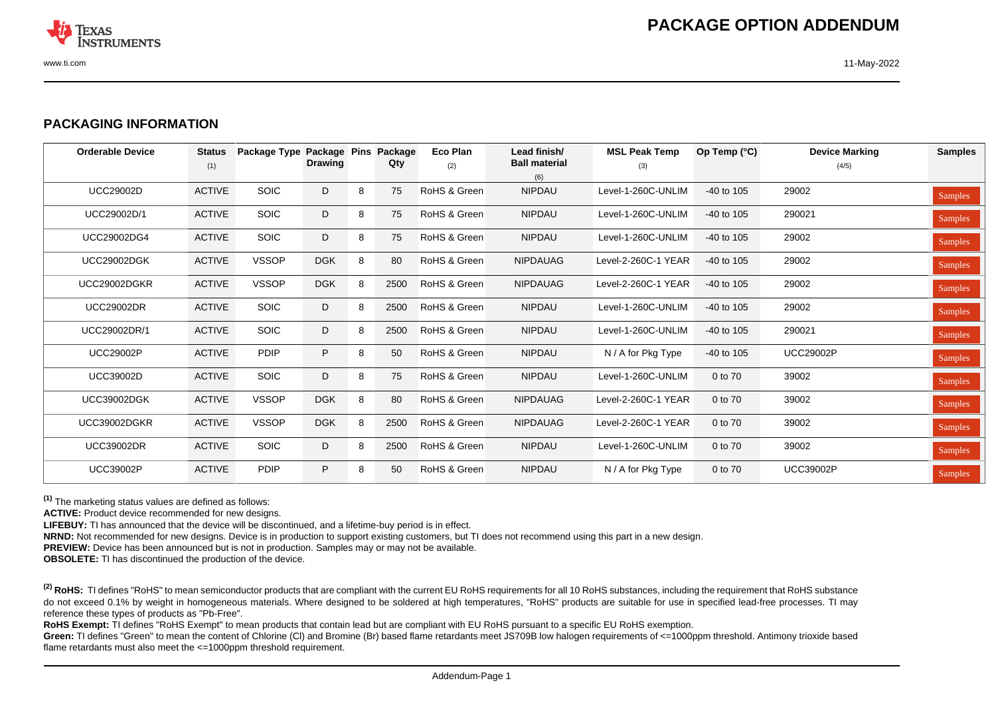

## **PACKAGING INFORMATION**

| <b>Orderable Device</b> | <b>Status</b><br>(1) | Package Type Package Pins | <b>Drawing</b> |   | Package<br>Qty | <b>Eco Plan</b><br>(2) | Lead finish/<br><b>Ball material</b><br>(6) | <b>MSL Peak Temp</b><br>(3) | Op Temp $(°C)$ | <b>Device Marking</b><br>(4/5) | <b>Samples</b> |
|-------------------------|----------------------|---------------------------|----------------|---|----------------|------------------------|---------------------------------------------|-----------------------------|----------------|--------------------------------|----------------|
| <b>UCC29002D</b>        | <b>ACTIVE</b>        | <b>SOIC</b>               | D              | 8 | 75             | RoHS & Green           | <b>NIPDAU</b>                               | Level-1-260C-UNLIM          | -40 to 105     | 29002                          | <b>Samples</b> |
| UCC29002D/1             | <b>ACTIVE</b>        | <b>SOIC</b>               | D              | 8 | 75             | RoHS & Green           | <b>NIPDAU</b>                               | Level-1-260C-UNLIM          | -40 to 105     | 290021                         | <b>Samples</b> |
| UCC29002DG4             | <b>ACTIVE</b>        | <b>SOIC</b>               | D              | 8 | 75             | RoHS & Green           | <b>NIPDAU</b>                               | Level-1-260C-UNLIM          | $-40$ to 105   | 29002                          | <b>Samples</b> |
| <b>UCC29002DGK</b>      | <b>ACTIVE</b>        | <b>VSSOP</b>              | <b>DGK</b>     | 8 | 80             | RoHS & Green           | <b>NIPDAUAG</b>                             | Level-2-260C-1 YEAR         | $-40$ to 105   | 29002                          | <b>Samples</b> |
| UCC29002DGKR            | <b>ACTIVE</b>        | <b>VSSOP</b>              | <b>DGK</b>     | 8 | 2500           | RoHS & Green           | <b>NIPDAUAG</b>                             | Level-2-260C-1 YEAR         | $-40$ to 105   | 29002                          | <b>Samples</b> |
| <b>UCC29002DR</b>       | <b>ACTIVE</b>        | <b>SOIC</b>               | D              | 8 | 2500           | RoHS & Green           | <b>NIPDAU</b>                               | Level-1-260C-UNLIM          | $-40$ to 105   | 29002                          | <b>Samples</b> |
| UCC29002DR/1            | <b>ACTIVE</b>        | <b>SOIC</b>               | D              | 8 | 2500           | RoHS & Green           | <b>NIPDAU</b>                               | Level-1-260C-UNLIM          | $-40$ to 105   | 290021                         | <b>Samples</b> |
| <b>UCC29002P</b>        | <b>ACTIVE</b>        | <b>PDIP</b>               | P              | 8 | 50             | RoHS & Green           | <b>NIPDAU</b>                               | N / A for Pkg Type          | $-40$ to 105   | <b>UCC29002P</b>               | <b>Samples</b> |
| <b>UCC39002D</b>        | <b>ACTIVE</b>        | <b>SOIC</b>               | D              | 8 | 75             | RoHS & Green           | <b>NIPDAU</b>                               | Level-1-260C-UNLIM          | 0 to 70        | 39002                          | <b>Samples</b> |
| <b>UCC39002DGK</b>      | <b>ACTIVE</b>        | <b>VSSOP</b>              | <b>DGK</b>     | 8 | 80             | RoHS & Green           | <b>NIPDAUAG</b>                             | Level-2-260C-1 YEAR         | 0 to 70        | 39002                          | <b>Samples</b> |
| UCC39002DGKR            | <b>ACTIVE</b>        | <b>VSSOP</b>              | <b>DGK</b>     | 8 | 2500           | RoHS & Green           | <b>NIPDAUAG</b>                             | Level-2-260C-1 YEAR         | 0 to 70        | 39002                          | <b>Samples</b> |
| <b>UCC39002DR</b>       | <b>ACTIVE</b>        | <b>SOIC</b>               | D              | 8 | 2500           | RoHS & Green           | <b>NIPDAU</b>                               | Level-1-260C-UNLIM          | 0 to 70        | 39002                          | <b>Samples</b> |
| <b>UCC39002P</b>        | <b>ACTIVE</b>        | <b>PDIP</b>               | P              | 8 | 50             | RoHS & Green           | <b>NIPDAU</b>                               | N / A for Pkg Type          | 0 to 70        | <b>UCC39002P</b>               | <b>Samples</b> |

**(1)** The marketing status values are defined as follows:

**ACTIVE:** Product device recommended for new designs.

**LIFEBUY:** TI has announced that the device will be discontinued, and a lifetime-buy period is in effect.

**NRND:** Not recommended for new designs. Device is in production to support existing customers, but TI does not recommend using this part in a new design.

**PREVIEW:** Device has been announced but is not in production. Samples may or may not be available.

**OBSOLETE:** TI has discontinued the production of the device.

<sup>(2)</sup> RoHS: TI defines "RoHS" to mean semiconductor products that are compliant with the current EU RoHS requirements for all 10 RoHS substances, including the requirement that RoHS substance do not exceed 0.1% by weight in homogeneous materials. Where designed to be soldered at high temperatures, "RoHS" products are suitable for use in specified lead-free processes. TI may reference these types of products as "Pb-Free".

RoHS Exempt: TI defines "RoHS Exempt" to mean products that contain lead but are compliant with EU RoHS pursuant to a specific EU RoHS exemption.

Green: TI defines "Green" to mean the content of Chlorine (CI) and Bromine (Br) based flame retardants meet JS709B low halogen requirements of <=1000ppm threshold. Antimony trioxide based flame retardants must also meet the  $\leq$ =1000ppm threshold requirement.